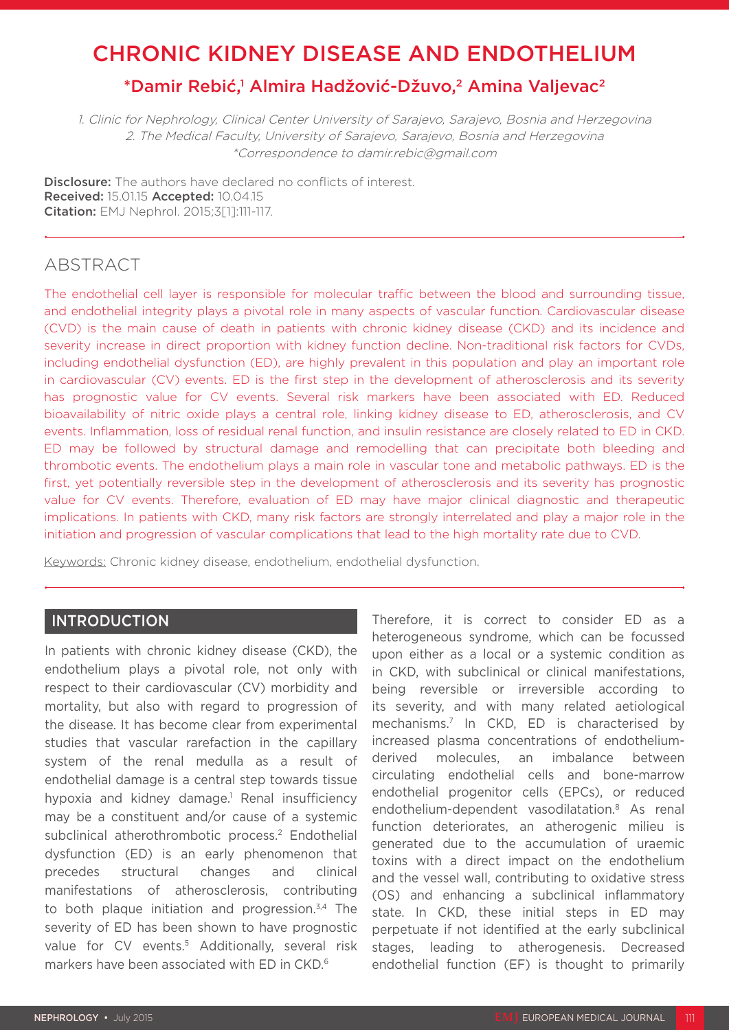# CHRONIC KIDNEY DISEASE AND ENDOTHELIUM

# \*Damir Rebić,<sup>1</sup> Almira Hadžović-Džuvo,<sup>2</sup> Amina Valjevac<sup>2</sup>

1. Clinic for Nephrology, Clinical Center University of Sarajevo, Sarajevo, Bosnia and Herzegovina 2. The Medical Faculty, University of Sarajevo, Sarajevo, Bosnia and Herzegovina \*Correspondence to damir.rebic@gmail.com

**Disclosure:** The authors have declared no conflicts of interest. Received: 15.01.15 Accepted: 10.04.15 Citation: EMJ Nephrol. 2015;3[1]:111-117.

# ABSTRACT

The endothelial cell layer is responsible for molecular traffic between the blood and surrounding tissue, and endothelial integrity plays a pivotal role in many aspects of vascular function. Cardiovascular disease (CVD) is the main cause of death in patients with chronic kidney disease (CKD) and its incidence and severity increase in direct proportion with kidney function decline. Non-traditional risk factors for CVDs, including endothelial dysfunction (ED), are highly prevalent in this population and play an important role in cardiovascular (CV) events. ED is the first step in the development of atherosclerosis and its severity has prognostic value for CV events. Several risk markers have been associated with ED. Reduced bioavailability of nitric oxide plays a central role, linking kidney disease to ED, atherosclerosis, and CV events. Inflammation, loss of residual renal function, and insulin resistance are closely related to ED in CKD. ED may be followed by structural damage and remodelling that can precipitate both bleeding and thrombotic events. The endothelium plays a main role in vascular tone and metabolic pathways. ED is the first, yet potentially reversible step in the development of atherosclerosis and its severity has prognostic value for CV events. Therefore, evaluation of ED may have major clinical diagnostic and therapeutic implications. In patients with CKD, many risk factors are strongly interrelated and play a major role in the initiation and progression of vascular complications that lead to the high mortality rate due to CVD.

Keywords: Chronic kidney disease, endothelium, endothelial dysfunction.

### INTRODUCTION

In patients with chronic kidney disease (CKD), the endothelium plays a pivotal role, not only with respect to their cardiovascular (CV) morbidity and mortality, but also with regard to progression of the disease. It has become clear from experimental studies that vascular rarefaction in the capillary system of the renal medulla as a result of endothelial damage is a central step towards tissue hypoxia and kidney damage.<sup>1</sup> Renal insufficiency may be a constituent and/or cause of a systemic subclinical atherothrombotic process.<sup>2</sup> Endothelial dysfunction (ED) is an early phenomenon that precedes structural changes and clinical manifestations of atherosclerosis, contributing to both plaque initiation and progression.<sup>3,4</sup> The severity of ED has been shown to have prognostic value for CV events.<sup>5</sup> Additionally, several risk markers have been associated with ED in CKD.6

Therefore, it is correct to consider ED as a heterogeneous syndrome, which can be focussed upon either as a local or a systemic condition as in CKD, with subclinical or clinical manifestations, being reversible or irreversible according to its severity, and with many related aetiological mechanisms.7 In CKD, ED is characterised by increased plasma concentrations of endotheliumderived molecules, an imbalance between circulating endothelial cells and bone-marrow endothelial progenitor cells (EPCs), or reduced endothelium-dependent vasodilatation.8 As renal function deteriorates, an atherogenic milieu is generated due to the accumulation of uraemic toxins with a direct impact on the endothelium and the vessel wall, contributing to oxidative stress (OS) and enhancing a subclinical inflammatory state. In CKD, these initial steps in ED may perpetuate if not identified at the early subclinical stages, leading to atherogenesis. Decreased endothelial function (EF) is thought to primarily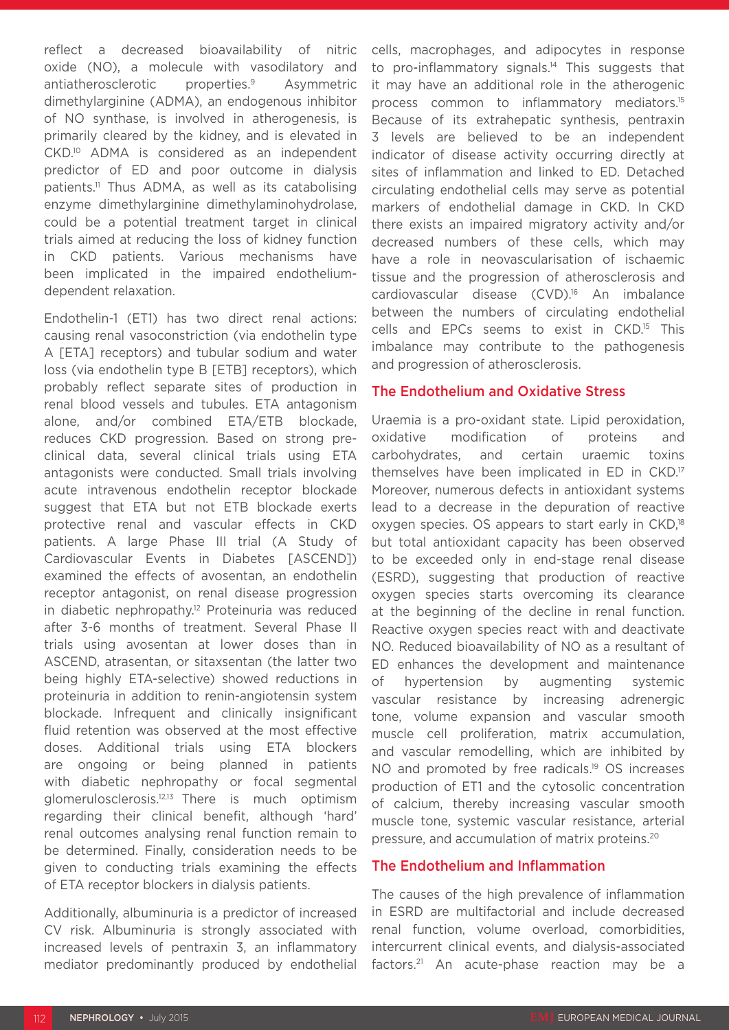reflect a decreased bioavailability of nitric oxide (NO), a molecule with vasodilatory and antiatherosclerotic properties.9 Asymmetric dimethylarginine (ADMA), an endogenous inhibitor of NO synthase, is involved in atherogenesis, is primarily cleared by the kidney, and is elevated in CKD.10 ADMA is considered as an independent predictor of ED and poor outcome in dialysis patients.<sup>11</sup> Thus ADMA, as well as its catabolising enzyme dimethylarginine dimethylaminohydrolase, could be a potential treatment target in clinical trials aimed at reducing the loss of kidney function in CKD patients. Various mechanisms have been implicated in the impaired endotheliumdependent relaxation.

Endothelin-1 (ET1) has two direct renal actions: causing renal vasoconstriction (via endothelin type A [ETA] receptors) and tubular sodium and water loss (via endothelin type B [ETB] receptors), which probably reflect separate sites of production in renal blood vessels and tubules. ETA antagonism alone, and/or combined ETA/ETB blockade, reduces CKD progression. Based on strong preclinical data, several clinical trials using ETA antagonists were conducted. Small trials involving acute intravenous endothelin receptor blockade suggest that ETA but not ETB blockade exerts protective renal and vascular effects in CKD patients. A large Phase III trial (A Study of Cardiovascular Events in Diabetes [ASCEND]) examined the effects of avosentan, an endothelin receptor antagonist, on renal disease progression in diabetic nephropathy.12 Proteinuria was reduced after 3-6 months of treatment. Several Phase II trials using avosentan at lower doses than in ASCEND, atrasentan, or sitaxsentan (the latter two being highly ETA-selective) showed reductions in proteinuria in addition to renin-angiotensin system blockade. Infrequent and clinically insignificant fluid retention was observed at the most effective doses. Additional trials using ETA blockers are ongoing or being planned in patients with diabetic nephropathy or focal segmental glomerulosclerosis.12,13 There is much optimism regarding their clinical benefit, although 'hard' renal outcomes analysing renal function remain to be determined. Finally, consideration needs to be given to conducting trials examining the effects of ETA receptor blockers in dialysis patients.

Additionally, albuminuria is a predictor of increased CV risk. Albuminuria is strongly associated with increased levels of pentraxin 3, an inflammatory mediator predominantly produced by endothelial cells, macrophages, and adipocytes in response to pro-inflammatory signals.<sup>14</sup> This suggests that it may have an additional role in the atherogenic process common to inflammatory mediators.15 Because of its extrahepatic synthesis, pentraxin 3 levels are believed to be an independent indicator of disease activity occurring directly at sites of inflammation and linked to ED. Detached circulating endothelial cells may serve as potential markers of endothelial damage in CKD. In CKD there exists an impaired migratory activity and/or decreased numbers of these cells, which may have a role in neovascularisation of ischaemic tissue and the progression of atherosclerosis and cardiovascular disease (CVD).<sup>16</sup> An imbalance between the numbers of circulating endothelial cells and EPCs seems to exist in CKD.15 This imbalance may contribute to the pathogenesis and progression of atherosclerosis.

#### The Endothelium and Oxidative Stress

Uraemia is a pro-oxidant state. Lipid peroxidation, oxidative modification of proteins and carbohydrates, and certain uraemic toxins themselves have been implicated in ED in CKD.17 Moreover, numerous defects in antioxidant systems lead to a decrease in the depuration of reactive oxygen species. OS appears to start early in CKD,<sup>18</sup> but total antioxidant capacity has been observed to be exceeded only in end-stage renal disease (ESRD), suggesting that production of reactive oxygen species starts overcoming its clearance at the beginning of the decline in renal function. Reactive oxygen species react with and deactivate NO. Reduced bioavailability of NO as a resultant of ED enhances the development and maintenance of hypertension by augmenting systemic vascular resistance by increasing adrenergic tone, volume expansion and vascular smooth muscle cell proliferation, matrix accumulation, and vascular remodelling, which are inhibited by NO and promoted by free radicals.<sup>19</sup> OS increases production of ET1 and the cytosolic concentration of calcium, thereby increasing vascular smooth muscle tone, systemic vascular resistance, arterial pressure, and accumulation of matrix proteins.20

#### The Endothelium and Inflammation

The causes of the high prevalence of inflammation in ESRD are multifactorial and include decreased renal function, volume overload, comorbidities, intercurrent clinical events, and dialysis-associated factors.21 An acute-phase reaction may be a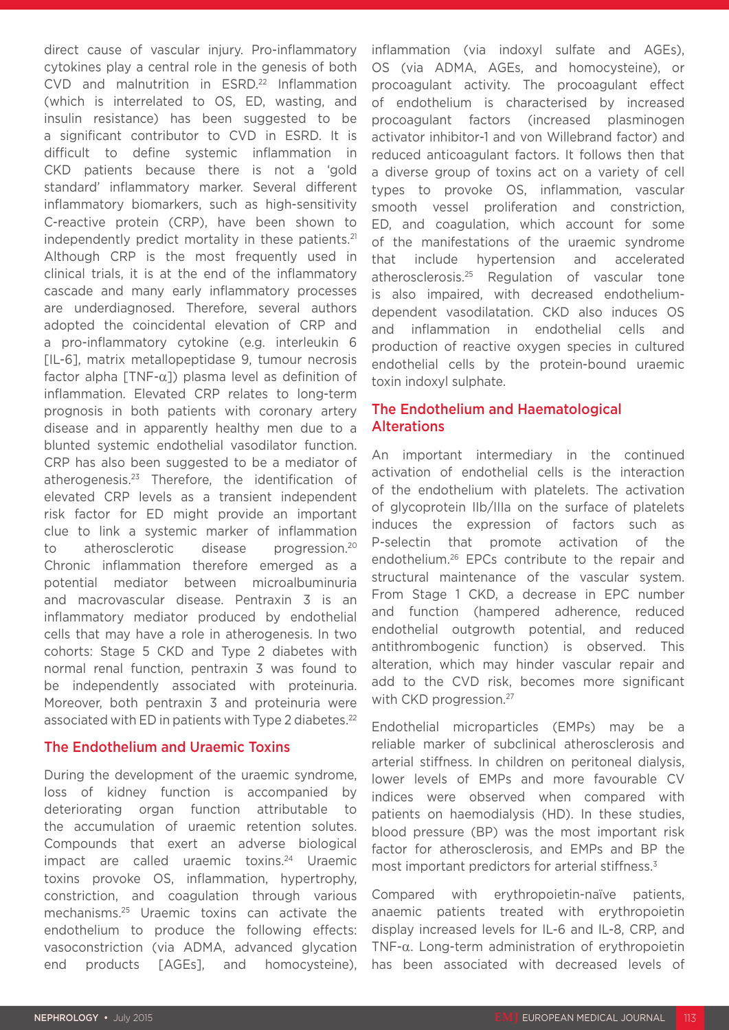direct cause of vascular injury. Pro-inflammatory cytokines play a central role in the genesis of both CVD and malnutrition in ESRD.<sup>22</sup> Inflammation (which is interrelated to OS, ED, wasting, and insulin resistance) has been suggested to be a significant contributor to CVD in ESRD. It is difficult to define systemic inflammation in CKD patients because there is not a 'gold standard' inflammatory marker. Several different inflammatory biomarkers, such as high-sensitivity C-reactive protein (CRP), have been shown to independently predict mortality in these patients.<sup>21</sup> Although CRP is the most frequently used in clinical trials, it is at the end of the inflammatory cascade and many early inflammatory processes are underdiagnosed. Therefore, several authors adopted the coincidental elevation of CRP and a pro-inflammatory cytokine (e.g. interleukin 6 [IL-6], matrix metallopeptidase 9, tumour necrosis factor alpha  $[TNF-\alpha]$ ) plasma level as definition of inflammation. Elevated CRP relates to long-term prognosis in both patients with coronary artery disease and in apparently healthy men due to a blunted systemic endothelial vasodilator function. CRP has also been suggested to be a mediator of atherogenesis.23 Therefore, the identification of elevated CRP levels as a transient independent risk factor for ED might provide an important clue to link a systemic marker of inflammation to atherosclerotic disease progression.20 Chronic inflammation therefore emerged as a potential mediator between microalbuminuria and macrovascular disease. Pentraxin 3 is an inflammatory mediator produced by endothelial cells that may have a role in atherogenesis. In two cohorts: Stage 5 CKD and Type 2 diabetes with normal renal function, pentraxin 3 was found to be independently associated with proteinuria. Moreover, both pentraxin 3 and proteinuria were associated with ED in patients with Type 2 diabetes.<sup>22</sup>

#### The Endothelium and Uraemic Toxins

During the development of the uraemic syndrome, loss of kidney function is accompanied by deteriorating organ function attributable to the accumulation of uraemic retention solutes. Compounds that exert an adverse biological impact are called uraemic toxins.<sup>24</sup> Uraemic toxins provoke OS, inflammation, hypertrophy, constriction, and coagulation through various mechanisms.25 Uraemic toxins can activate the endothelium to produce the following effects: vasoconstriction (via ADMA, advanced glycation end products [AGEs], and homocysteine),

inflammation (via indoxyl sulfate and AGEs), OS (via ADMA, AGEs, and homocysteine), or procoagulant activity. The procoagulant effect of endothelium is characterised by increased procoagulant factors (increased plasminogen activator inhibitor-1 and von Willebrand factor) and reduced anticoagulant factors. It follows then that a diverse group of toxins act on a variety of cell types to provoke OS, inflammation, vascular smooth vessel proliferation and constriction, ED, and coagulation, which account for some of the manifestations of the uraemic syndrome that include hypertension and accelerated atherosclerosis.25 Regulation of vascular tone is also impaired, with decreased endotheliumdependent vasodilatation. CKD also induces OS and inflammation in endothelial cells and production of reactive oxygen species in cultured endothelial cells by the protein-bound uraemic toxin indoxyl sulphate.

#### The Endothelium and Haematological Alterations

An important intermediary in the continued activation of endothelial cells is the interaction of the endothelium with platelets. The activation of glycoprotein IIb/IIIa on the surface of platelets induces the expression of factors such as P-selectin that promote activation of the endothelium.26 EPCs contribute to the repair and structural maintenance of the vascular system. From Stage 1 CKD, a decrease in EPC number and function (hampered adherence, reduced endothelial outgrowth potential, and reduced antithrombogenic function) is observed. This alteration, which may hinder vascular repair and add to the CVD risk, becomes more significant with CKD progression.<sup>27</sup>

Endothelial microparticles (EMPs) may be a reliable marker of subclinical atherosclerosis and arterial stiffness. In children on peritoneal dialysis, lower levels of EMPs and more favourable CV indices were observed when compared with patients on haemodialysis (HD). In these studies, blood pressure (BP) was the most important risk factor for atherosclerosis, and EMPs and BP the most important predictors for arterial stiffness.<sup>3</sup>

Compared with erythropoietin-naïve patients, anaemic patients treated with erythropoietin display increased levels for IL-6 and IL-8, CRP, and TNF-α. Long-term administration of erythropoietin has been associated with decreased levels of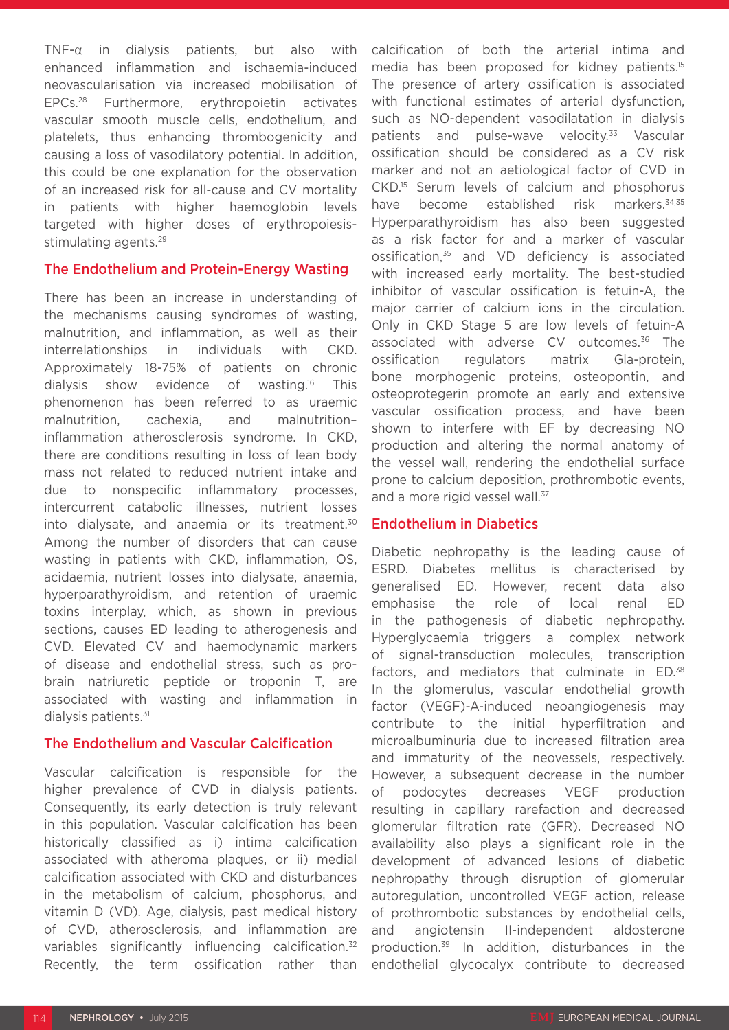TNF- $\alpha$  in dialysis patients, but also with enhanced inflammation and ischaemia-induced neovascularisation via increased mobilisation of EPCs.28 Furthermore, erythropoietin activates vascular smooth muscle cells, endothelium, and platelets, thus enhancing thrombogenicity and causing a loss of vasodilatory potential. In addition, this could be one explanation for the observation of an increased risk for all-cause and CV mortality in patients with higher haemoglobin levels targeted with higher doses of erythropoiesisstimulating agents.<sup>29</sup>

#### The Endothelium and Protein-Energy Wasting

There has been an increase in understanding of the mechanisms causing syndromes of wasting, malnutrition, and inflammation, as well as their interrelationships in individuals with CKD. Approximately 18-75% of patients on chronic dialysis show evidence of wasting.16 This phenomenon has been referred to as uraemic malnutrition, cachexia, and malnutrition– inflammation atherosclerosis syndrome. In CKD, there are conditions resulting in loss of lean body mass not related to reduced nutrient intake and due to nonspecific inflammatory processes, intercurrent catabolic illnesses, nutrient losses into dialysate, and anaemia or its treatment.30 Among the number of disorders that can cause wasting in patients with CKD, inflammation, OS, acidaemia, nutrient losses into dialysate, anaemia, hyperparathyroidism, and retention of uraemic toxins interplay, which, as shown in previous sections, causes ED leading to atherogenesis and CVD. Elevated CV and haemodynamic markers of disease and endothelial stress, such as probrain natriuretic peptide or troponin T, are associated with wasting and inflammation in dialysis patients.<sup>31</sup>

#### The Endothelium and Vascular Calcification

Vascular calcification is responsible for the higher prevalence of CVD in dialysis patients. Consequently, its early detection is truly relevant in this population. Vascular calcification has been historically classified as i) intima calcification associated with atheroma plaques, or ii) medial calcification associated with CKD and disturbances in the metabolism of calcium, phosphorus, and vitamin D (VD). Age, dialysis, past medical history of CVD, atherosclerosis, and inflammation are variables significantly influencing calcification.<sup>32</sup> Recently, the term ossification rather than

calcification of both the arterial intima and media has been proposed for kidney patients.15 The presence of artery ossification is associated with functional estimates of arterial dysfunction, such as NO-dependent vasodilatation in dialysis patients and pulse-wave velocity.<sup>33</sup> Vascular ossification should be considered as a CV risk marker and not an aetiological factor of CVD in CKD.15 Serum levels of calcium and phosphorus have become established risk markers.<sup>34,35</sup> Hyperparathyroidism has also been suggested as a risk factor for and a marker of vascular ossification,35 and VD deficiency is associated with increased early mortality. The best-studied inhibitor of vascular ossification is fetuin-A, the major carrier of calcium ions in the circulation. Only in CKD Stage 5 are low levels of fetuin-A associated with adverse CV outcomes.<sup>36</sup> The ossification regulators matrix Gla-protein, bone morphogenic proteins, osteopontin, and osteoprotegerin promote an early and extensive vascular ossification process, and have been shown to interfere with EF by decreasing NO production and altering the normal anatomy of the vessel wall, rendering the endothelial surface prone to calcium deposition, prothrombotic events, and a more rigid vessel wall.<sup>37</sup>

### Endothelium in Diabetics

Diabetic nephropathy is the leading cause of ESRD. Diabetes mellitus is characterised by generalised ED. However, recent data also emphasise the role of local renal ED in the pathogenesis of diabetic nephropathy. Hyperglycaemia triggers a complex network of signal-transduction molecules, transcription factors, and mediators that culminate in ED.<sup>38</sup> In the glomerulus, vascular endothelial growth factor (VEGF)-A-induced neoangiogenesis may contribute to the initial hyperfiltration and microalbuminuria due to increased filtration area and immaturity of the neovessels, respectively. However, a subsequent decrease in the number of podocytes decreases VEGF production resulting in capillary rarefaction and decreased glomerular filtration rate (GFR). Decreased NO availability also plays a significant role in the development of advanced lesions of diabetic nephropathy through disruption of glomerular autoregulation, uncontrolled VEGF action, release of prothrombotic substances by endothelial cells, and angiotensin II-independent aldosterone production.39 In addition, disturbances in the endothelial glycocalyx contribute to decreased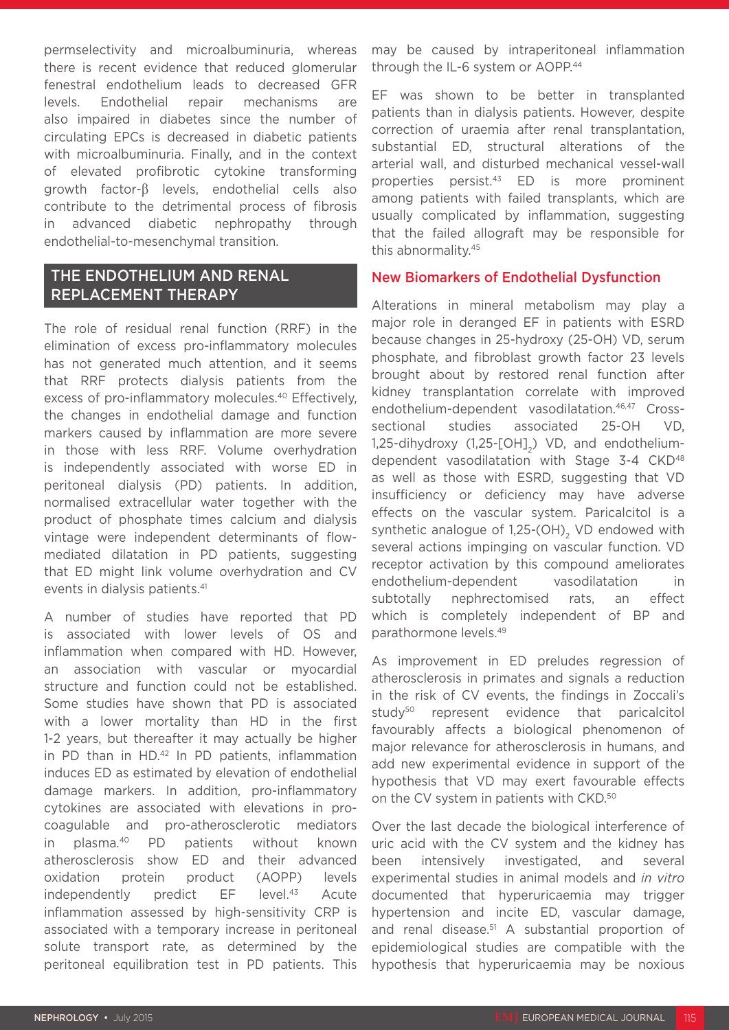permselectivity and microalbuminuria, whereas there is recent evidence that reduced glomerular fenestral endothelium leads to decreased GFR levels. Endothelial repair mechanisms are also impaired in diabetes since the number of circulating EPCs is decreased in diabetic patients with microalbuminuria. Finally, and in the context of elevated profibrotic cytokine transforming growth factor-β levels, endothelial cells also contribute to the detrimental process of fibrosis in advanced diabetic nephropathy through endothelial-to-mesenchymal transition.

## THE ENDOTHELIUM AND RENAL REPLACEMENT THERAPY

The role of residual renal function (RRF) in the elimination of excess pro-inflammatory molecules has not generated much attention, and it seems that RRF protects dialysis patients from the excess of pro-inflammatory molecules.<sup>40</sup> Effectively, the changes in endothelial damage and function markers caused by inflammation are more severe in those with less RRF. Volume overhydration is independently associated with worse ED in peritoneal dialysis (PD) patients. In addition, normalised extracellular water together with the product of phosphate times calcium and dialysis vintage were independent determinants of flowmediated dilatation in PD patients, suggesting that ED might link volume overhydration and CV events in dialysis patients.<sup>41</sup>

A number of studies have reported that PD is associated with lower levels of OS and inflammation when compared with HD. However, an association with vascular or myocardial structure and function could not be established. Some studies have shown that PD is associated with a lower mortality than HD in the first 1-2 years, but thereafter it may actually be higher in PD than in HD.<sup>42</sup> In PD patients, inflammation induces ED as estimated by elevation of endothelial damage markers. In addition, pro-inflammatory cytokines are associated with elevations in procoagulable and pro-atherosclerotic mediators in plasma.40 PD patients without known atherosclerosis show ED and their advanced oxidation protein product (AOPP) levels independently predict EF level.43 Acute inflammation assessed by high-sensitivity CRP is associated with a temporary increase in peritoneal solute transport rate, as determined by the peritoneal equilibration test in PD patients. This

may be caused by intraperitoneal inflammation through the IL-6 system or AOPP.<sup>44</sup>

EF was shown to be better in transplanted patients than in dialysis patients. However, despite correction of uraemia after renal transplantation, substantial ED, structural alterations of the arterial wall, and disturbed mechanical vessel-wall properties persist.43 ED is more prominent among patients with failed transplants, which are usually complicated by inflammation, suggesting that the failed allograft may be responsible for this abnormality.45

## New Biomarkers of Endothelial Dysfunction

Alterations in mineral metabolism may play a major role in deranged EF in patients with ESRD because changes in 25-hydroxy (25-OH) VD, serum phosphate, and fibroblast growth factor 23 levels brought about by restored renal function after kidney transplantation correlate with improved endothelium-dependent vasodilatation.<sup>46,47</sup> Crosssectional studies associated 25-OH VD,  $1,25$ -dihydroxy  $(1,25-[OH]_{2})$  VD, and endotheliumdependent vasodilatation with Stage 3-4 CKD<sup>48</sup> as well as those with ESRD, suggesting that VD insufficiency or deficiency may have adverse effects on the vascular system. Paricalcitol is a synthetic analogue of  $1,25$ -(OH)<sub>2</sub> VD endowed with several actions impinging on vascular function. VD receptor activation by this compound ameliorates endothelium-dependent vasodilatation in subtotally nephrectomised rats, an effect which is completely independent of BP and parathormone levels.49

As improvement in ED preludes regression of atherosclerosis in primates and signals a reduction in the risk of CV events, the findings in Zoccali's study<sup>50</sup> represent evidence that paricalcitol favourably affects a biological phenomenon of major relevance for atherosclerosis in humans, and add new experimental evidence in support of the hypothesis that VD may exert favourable effects on the CV system in patients with CKD.<sup>50</sup>

Over the last decade the biological interference of uric acid with the CV system and the kidney has been intensively investigated, and several experimental studies in animal models and *in vitro* documented that hyperuricaemia may trigger hypertension and incite ED, vascular damage, and renal disease.<sup>51</sup> A substantial proportion of epidemiological studies are compatible with the hypothesis that hyperuricaemia may be noxious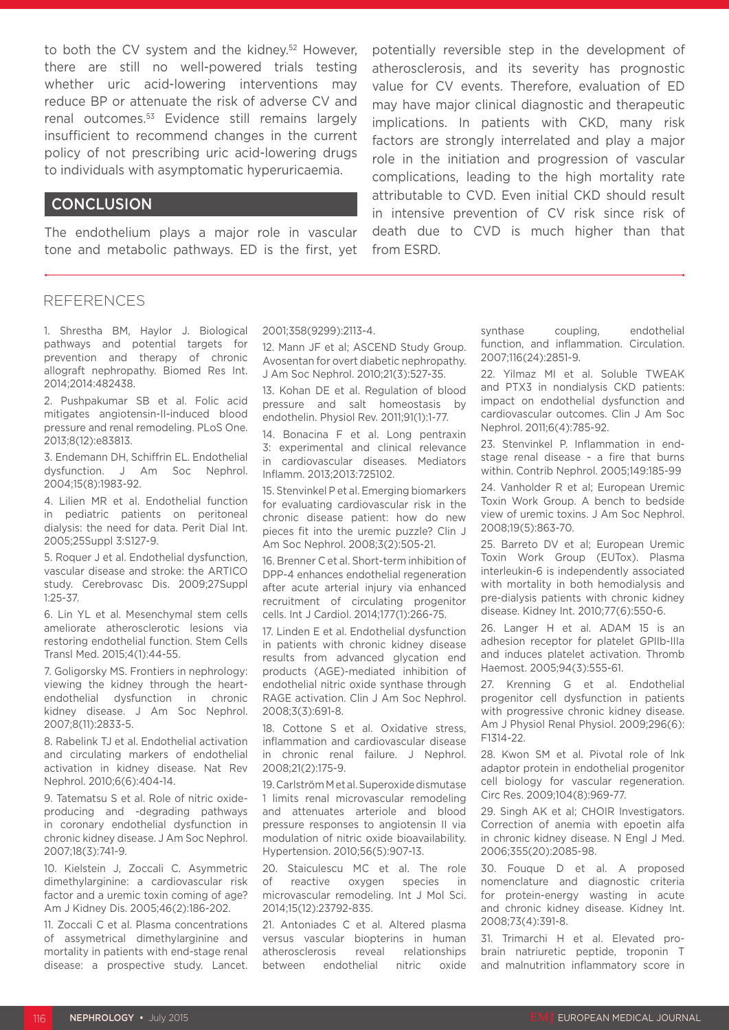to both the CV system and the kidney.<sup>52</sup> However, there are still no well-powered trials testing whether uric acid-lowering interventions may reduce BP or attenuate the risk of adverse CV and renal outcomes.53 Evidence still remains largely insufficient to recommend changes in the current policy of not prescribing uric acid-lowering drugs to individuals with asymptomatic hyperuricaemia.

### **CONCLUSION**

The endothelium plays a major role in vascular tone and metabolic pathways. ED is the first, yet potentially reversible step in the development of atherosclerosis, and its severity has prognostic value for CV events. Therefore, evaluation of ED may have major clinical diagnostic and therapeutic implications. In patients with CKD, many risk factors are strongly interrelated and play a major role in the initiation and progression of vascular complications, leading to the high mortality rate attributable to CVD. Even initial CKD should result in intensive prevention of CV risk since risk of death due to CVD is much higher than that from ESRD.

#### **REFERENCES**

1. Shrestha BM, Haylor J. Biological pathways and potential targets for prevention and therapy of chronic allograft nephropathy. Biomed Res Int. 2014;2014:482438.

2. Pushpakumar SB et al. Folic acid mitigates angiotensin-II-induced blood pressure and renal remodeling. PLoS One. 2013;8(12):e83813.

3. Endemann DH, Schiffrin EL. Endothelial dysfunction. J Am Soc Nephrol. 2004;15(8):1983-92.

4. Lilien MR et al. Endothelial function in pediatric patients on peritoneal dialysis: the need for data. Perit Dial Int. 2005;25Suppl 3:S127-9.

5. Roquer J et al. Endothelial dysfunction, vascular disease and stroke: the ARTICO study. Cerebrovasc Dis. 2009;27Suppl 1:25-37.

6. Lin YL et al. Mesenchymal stem cells ameliorate atherosclerotic lesions via restoring endothelial function. Stem Cells Transl Med. 2015;4(1):44-55.

7. Goligorsky MS. Frontiers in nephrology: viewing the kidney through the heartendothelial dysfunction in chronic kidney disease. J Am Soc Nephrol. 2007;8(11):2833-5.

8. Rabelink TJ et al. Endothelial activation and circulating markers of endothelial activation in kidney disease. Nat Rev Nephrol. 2010;6(6):404-14.

9. Tatematsu S et al. Role of nitric oxideproducing and -degrading pathways in coronary endothelial dysfunction in chronic kidney disease. J Am Soc Nephrol. 2007;18(3):741-9.

10. Kielstein J, Zoccali C. Asymmetric dimethylarginine: a cardiovascular risk factor and a uremic toxin coming of age? Am J Kidney Dis. 2005;46(2):186-202.

11. Zoccali C et al. Plasma concentrations of assymetrical dimethylarginine and mortality in patients with end-stage renal disease: a prospective study. Lancet. 2001;358(9299):2113-4.

12. Mann JF et al; ASCEND Study Group. Avosentan for overt diabetic nephropathy. J Am Soc Nephrol. 2010;21(3):527-35.

13. Kohan DE et al. Regulation of blood pressure and salt homeostasis by endothelin. Physiol Rev. 2011;91(1):1-77.

14. Bonacina F et al. Long pentraxin 3: experimental and clinical relevance in cardiovascular diseases. Mediators Inflamm. 2013;2013:725102.

15. Stenvinkel P et al. Emerging biomarkers for evaluating cardiovascular risk in the chronic disease patient: how do new pieces fit into the uremic puzzle? Clin J Am Soc Nephrol. 2008;3(2):505-21.

16. Brenner C et al. Short-term inhibition of DPP-4 enhances endothelial regeneration after acute arterial injury via enhanced recruitment of circulating progenitor cells. Int J Cardiol. 2014;177(1):266-75.

17. Linden E et al. Endothelial dysfunction in patients with chronic kidney disease results from advanced glycation end products (AGE)-mediated inhibition of endothelial nitric oxide synthase through RAGE activation. Clin J Am Soc Nephrol. 2008;3(3):691-8.

18. Cottone S et al. Oxidative stress, inflammation and cardiovascular disease in chronic renal failure. J Nephrol. 2008;21(2):175-9.

19. Carlström M et al. Superoxide dismutase 1 limits renal microvascular remodeling and attenuates arteriole and blood pressure responses to angiotensin II via modulation of nitric oxide bioavailability. Hypertension. 2010;56(5):907-13.

20. Staiculescu MC et al. The role of reactive oxygen species in microvascular remodeling. Int J Mol Sci. 2014;15(12):23792-835.

21. Antoniades C et al. Altered plasma versus vascular biopterins in human atherosclerosis reveal relationships between endothelial nitric oxide

synthase coupling, endothelial function, and inflammation. Circulation. 2007;116(24):2851-9.

22. Yilmaz MI et al. Soluble TWEAK and PTX3 in nondialysis CKD patients: impact on endothelial dysfunction and cardiovascular outcomes. Clin J Am Soc Nephrol. 2011;6(4):785-92.

23. Stenvinkel P. Inflammation in endstage renal disease - a fire that burns within. Contrib Nephrol. 2005;149:185-99

24. Vanholder R et al; European Uremic Toxin Work Group. A bench to bedside view of uremic toxins. J Am Soc Nephrol. 2008;19(5):863-70.

25. Barreto DV et al; European Uremic Toxin Work Group (EUTox). Plasma interleukin-6 is independently associated with mortality in both hemodialysis and pre-dialysis patients with chronic kidney disease. Kidney Int. 2010;77(6):550-6.

26. Langer H et al. ADAM 15 is an adhesion receptor for platelet GPIIb-IIIa and induces platelet activation. Thromb Haemost. 2005;94(3):555-61.

27. Krenning G et al. Endothelial progenitor cell dysfunction in patients with progressive chronic kidney disease. Am J Physiol Renal Physiol. 2009;296(6): F1314-22.

28. Kwon SM et al. Pivotal role of lnk adaptor protein in endothelial progenitor cell biology for vascular regeneration. Circ Res. 2009;104(8):969-77.

29. Singh AK et al; CHOIR Investigators. Correction of anemia with epoetin alfa in chronic kidney disease. N Engl J Med. 2006;355(20):2085-98.

30. Fouque D et al. A proposed nomenclature and diagnostic criteria for protein-energy wasting in acute and chronic kidney disease. Kidney Int. 2008;73(4):391-8.

31. Trimarchi H et al. Elevated probrain natriuretic peptide, troponin T and malnutrition inflammatory score in